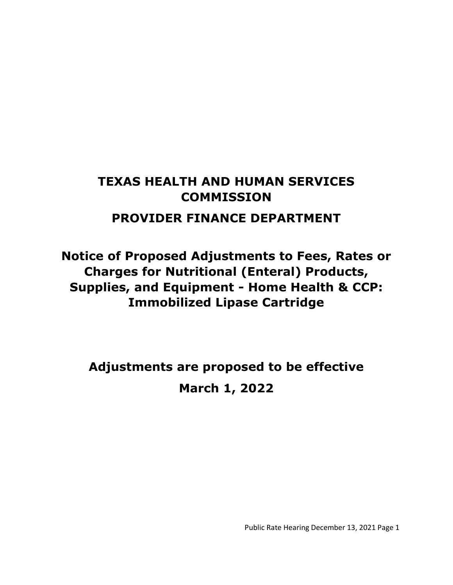# **TEXAS HEALTH AND HUMAN SERVICES COMMISSION**

# **PROVIDER FINANCE DEPARTMENT**

**Notice of Proposed Adjustments to Fees, Rates or Charges for Nutritional (Enteral) Products, Supplies, and Equipment - Home Health & CCP: Immobilized Lipase Cartridge**

**Adjustments are proposed to be effective March 1, 2022**

Public Rate Hearing December 13, 2021 Page 1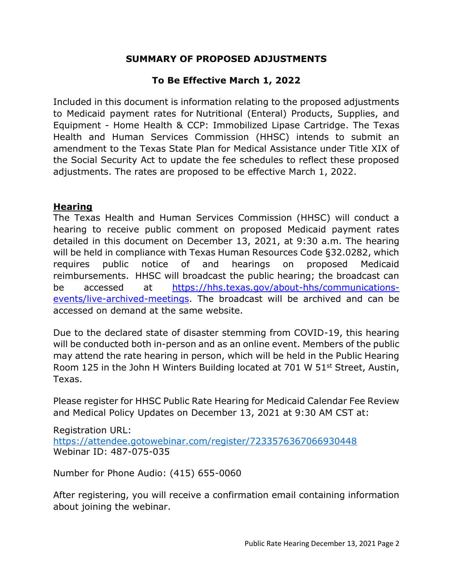### **SUMMARY OF PROPOSED ADJUSTMENTS**

## **To Be Effective March 1, 2022**

Included in this document is information relating to the proposed adjustments to Medicaid payment rates for Nutritional (Enteral) Products, Supplies, and Equipment - Home Health & CCP: Immobilized Lipase Cartridge. The Texas Health and Human Services Commission (HHSC) intends to submit an amendment to the Texas State Plan for Medical Assistance under Title XIX of the Social Security Act to update the fee schedules to reflect these proposed adjustments. The rates are proposed to be effective March 1, 2022.

#### **Hearing**

The Texas Health and Human Services Commission (HHSC) will conduct a hearing to receive public comment on proposed Medicaid payment rates detailed in this document on December 13, 2021, at 9:30 a.m. The hearing will be held in compliance with Texas Human Resources Code §32.0282, which requires public notice of and hearings on proposed Medicaid reimbursements. HHSC will broadcast the public hearing; the broadcast can be accessed at [https://hhs.texas.gov/about-hhs/communications](https://hhs.texas.gov/about-hhs/communications-events/live-archived-meetings)[events/live-archived-meetings.](https://hhs.texas.gov/about-hhs/communications-events/live-archived-meetings) The broadcast will be archived and can be accessed on demand at the same website.

Due to the declared state of disaster stemming from COVID-19, this hearing will be conducted both in-person and as an online event. Members of the public may attend the rate hearing in person, which will be held in the Public Hearing Room 125 in the John H Winters Building located at 701 W 51st Street, Austin, Texas.

Please register for HHSC Public Rate Hearing for Medicaid Calendar Fee Review and Medical Policy Updates on December 13, 2021 at 9:30 AM CST at:

Registration URL: <https://attendee.gotowebinar.com/register/7233576367066930448> Webinar ID: 487-075-035

Number for Phone Audio: (415) 655-0060

After registering, you will receive a confirmation email containing information about joining the webinar.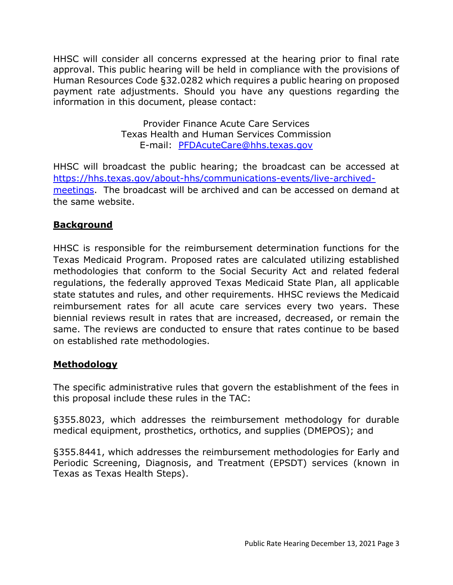HHSC will consider all concerns expressed at the hearing prior to final rate approval. This public hearing will be held in compliance with the provisions of Human Resources Code §32.0282 which requires a public hearing on proposed payment rate adjustments. Should you have any questions regarding the information in this document, please contact:

> Provider Finance Acute Care Services Texas Health and Human Services Commission E-mail: [PFDAcuteCare@hhs.texas.gov](mailto:PFDAcuteCare@hhs.texas.gov)

HHSC will broadcast the public hearing; the broadcast can be accessed at [https://hhs.texas.gov/about-hhs/communications-events/live-archived](https://hhs.texas.gov/about-hhs/communications-events/live-archived-meetings)[meetings.](https://hhs.texas.gov/about-hhs/communications-events/live-archived-meetings) The broadcast will be archived and can be accessed on demand at the same website.

# **Background**

HHSC is responsible for the reimbursement determination functions for the Texas Medicaid Program. Proposed rates are calculated utilizing established methodologies that conform to the Social Security Act and related federal regulations, the federally approved Texas Medicaid State Plan, all applicable state statutes and rules, and other requirements. HHSC reviews the Medicaid reimbursement rates for all acute care services every two years. These biennial reviews result in rates that are increased, decreased, or remain the same. The reviews are conducted to ensure that rates continue to be based on established rate methodologies.

### **Methodology**

The specific administrative rules that govern the establishment of the fees in this proposal include these rules in the TAC:

§355.8023, which addresses the reimbursement methodology for durable medical equipment, prosthetics, orthotics, and supplies (DMEPOS); and

§355.8441, which addresses the reimbursement methodologies for Early and Periodic Screening, Diagnosis, and Treatment (EPSDT) services (known in Texas as Texas Health Steps).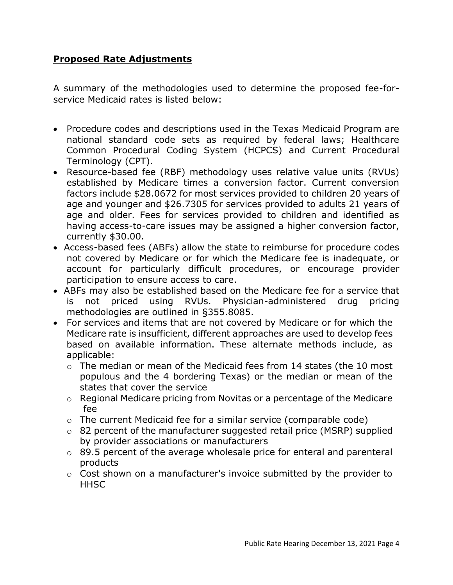#### **Proposed Rate Adjustments**

A summary of the methodologies used to determine the proposed fee-forservice Medicaid rates is listed below:

- Procedure codes and descriptions used in the Texas Medicaid Program are national standard code sets as required by federal laws; Healthcare Common Procedural Coding System (HCPCS) and Current Procedural Terminology (CPT).
- Resource-based fee (RBF) methodology uses relative value units (RVUs) established by Medicare times a conversion factor. Current conversion factors include \$28.0672 for most services provided to children 20 years of age and younger and \$26.7305 for services provided to adults 21 years of age and older. Fees for services provided to children and identified as having access-to-care issues may be assigned a higher conversion factor, currently \$30.00.
- Access-based fees (ABFs) allow the state to reimburse for procedure codes not covered by Medicare or for which the Medicare fee is inadequate, or account for particularly difficult procedures, or encourage provider participation to ensure access to care.
- ABFs may also be established based on the Medicare fee for a service that is not priced using RVUs. Physician-administered drug pricing methodologies are outlined in §355.8085.
- For services and items that are not covered by Medicare or for which the Medicare rate is insufficient, different approaches are used to develop fees based on available information. These alternate methods include, as applicable:
	- o The median or mean of the Medicaid fees from 14 states (the 10 most populous and the 4 bordering Texas) or the median or mean of the states that cover the service
	- o Regional Medicare pricing from Novitas or a percentage of the Medicare fee
	- o The current Medicaid fee for a similar service (comparable code)
	- o 82 percent of the manufacturer suggested retail price (MSRP) supplied by provider associations or manufacturers
	- o 89.5 percent of the average wholesale price for enteral and parenteral products
	- o Cost shown on a manufacturer's invoice submitted by the provider to **HHSC**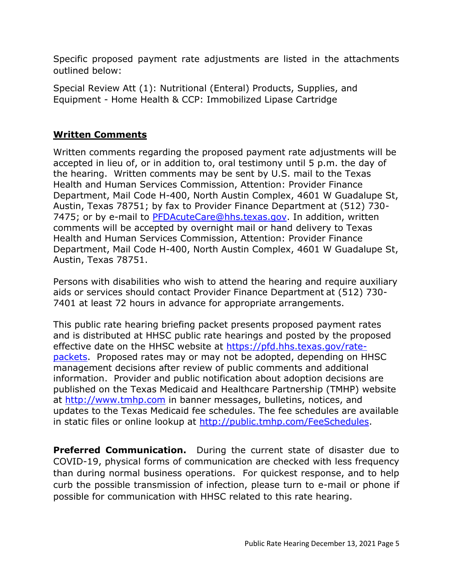Specific proposed payment rate adjustments are listed in the attachments outlined below:

Special Review Att (1): Nutritional (Enteral) Products, Supplies, and Equipment - Home Health & CCP: Immobilized Lipase Cartridge

#### **Written Comments**

Written comments regarding the proposed payment rate adjustments will be accepted in lieu of, or in addition to, oral testimony until 5 p.m. the day of the hearing. Written comments may be sent by U.S. mail to the Texas Health and Human Services Commission, Attention: Provider Finance Department, Mail Code H-400, North Austin Complex, 4601 W Guadalupe St, Austin, Texas 78751; by fax to Provider Finance Department at (512) 730- 7475; or by e-mail to [PFDAcuteCare@hhs.texas.gov.](mailto:PFDAcuteCare@hhs.texas.gov) In addition, written comments will be accepted by overnight mail or hand delivery to Texas Health and Human Services Commission, Attention: Provider Finance Department, Mail Code H-400, North Austin Complex, 4601 W Guadalupe St, Austin, Texas 78751.

Persons with disabilities who wish to attend the hearing and require auxiliary aids or services should contact Provider Finance Department at (512) 730- 7401 at least 72 hours in advance for appropriate arrangements.

This public rate hearing briefing packet presents proposed payment rates and is distributed at HHSC public rate hearings and posted by the proposed effective date on the HHSC website at [https://pfd.hhs.texas.gov/rate](https://pfd.hhs.texas.gov/rate-packets)[packets.](https://pfd.hhs.texas.gov/rate-packets) Proposed rates may or may not be adopted, depending on HHSC management decisions after review of public comments and additional information. Provider and public notification about adoption decisions are published on the Texas Medicaid and Healthcare Partnership (TMHP) website at [http://www.tmhp.com](http://www.tmhp.com/) in banner messages, bulletins, notices, and updates to the Texas Medicaid fee schedules. The fee schedules are available in static files or online lookup at [http://public.tmhp.com/FeeSchedules.](http://public.tmhp.com/FeeSchedules)

**Preferred Communication.** During the current state of disaster due to COVID-19, physical forms of communication are checked with less frequency than during normal business operations. For quickest response, and to help curb the possible transmission of infection, please turn to e-mail or phone if possible for communication with HHSC related to this rate hearing.